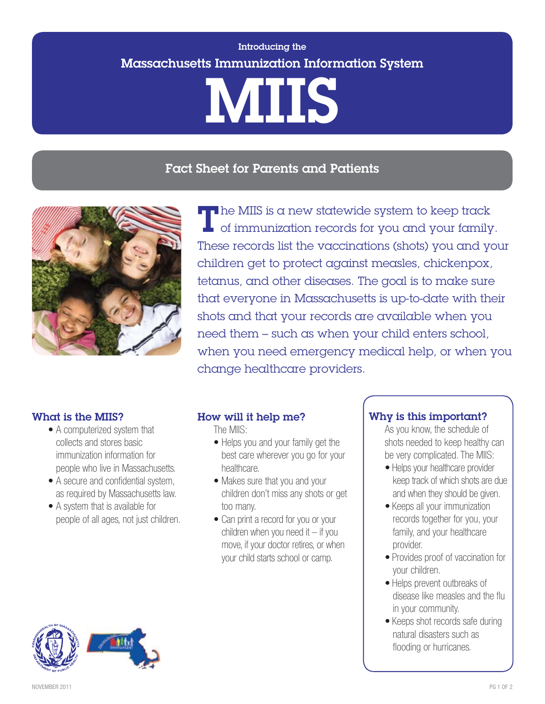# Introducing the Massachusetts Immunization Information System MIIS

# Fact Sheet for Parents and Patients



The MIIS is a new statewide system to keep track of immunization records for you and your family. These records list the vaccinations (shots) you and your children get to protect against measles, chickenpox, tetanus, and other diseases. The goal is to make sure that everyone in Massachusetts is up-to-date with their shots and that your records are available when you need them – such as when your child enters school, when you need emergency medical help, or when you change healthcare providers.

#### What is the MIIS?

- A computerized system that collects and stores basic immunization information for people who live in Massachusetts.
- A secure and confidential system, as required by Massachusetts law.
- A system that is available for people of all ages, not just children.

#### How will it help me?

The MIIS:

- Helps you and your family get the best care wherever you go for your healthcare.
- Makes sure that you and your children don't miss any shots or get too many.
- Can print a record for you or your children when you need it  $-$  if you move, if your doctor retires, or when your child starts school or camp.

#### Why is this important?

As you know, the schedule of shots needed to keep healthy can be very complicated. The MIIS:

- Helps your healthcare provider keep track of which shots are due and when they should be given.
- Keeps all your immunization records together for you, your family, and your healthcare provider.
- Provides proof of vaccination for your children.
- Helps prevent outbreaks of disease like measles and the flu in your community.
- Keeps shot records safe during natural disasters such as flooding or hurricanes.